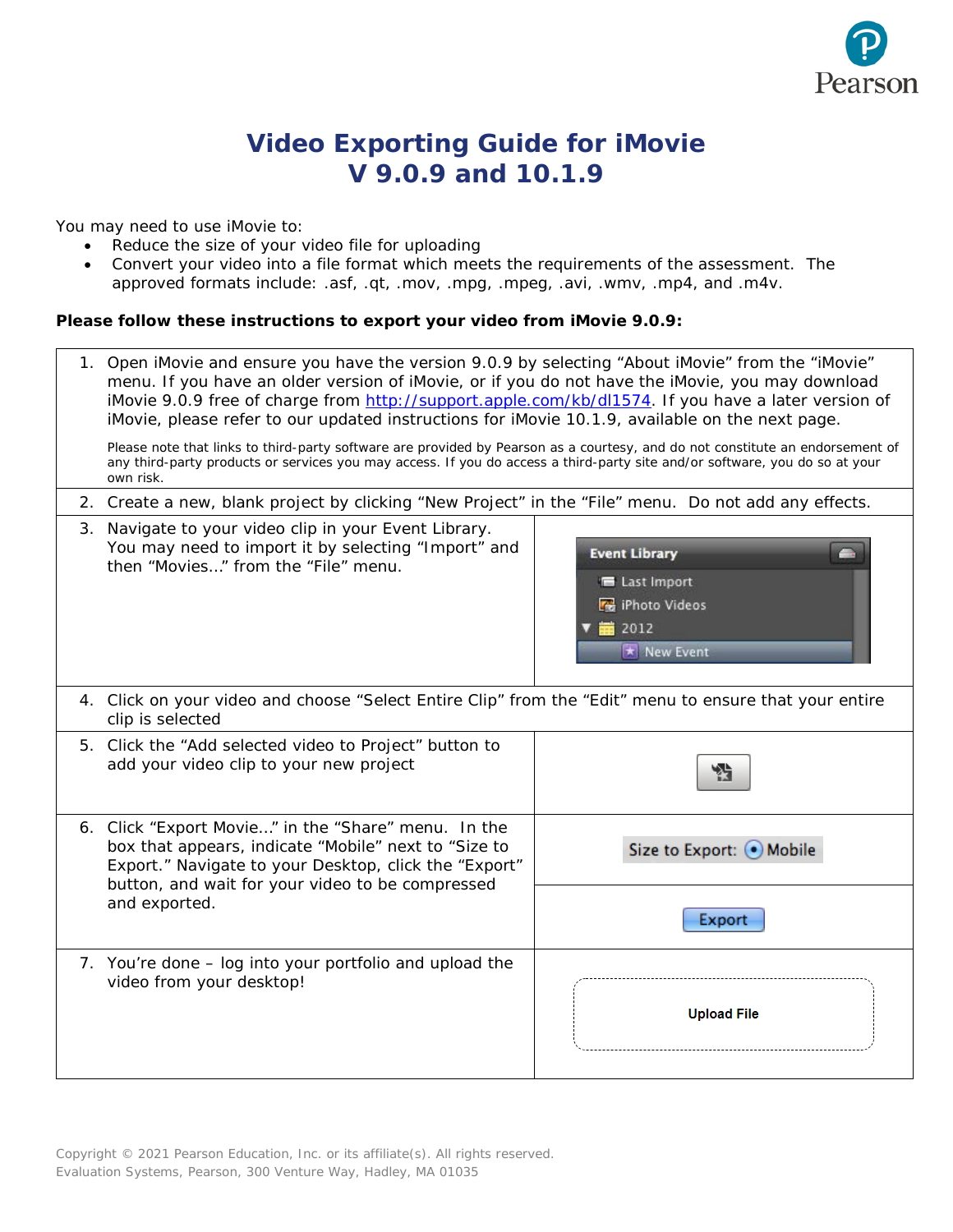

## **Video Exporting Guide for iMovie V 9.0.9 and 10.1.9**

You may need to use iMovie to:

- Reduce the size of your video file for uploading
- Convert your video into a file format which meets the requirements of the assessment. The approved formats include: .asf, .qt, .mov, .mpg, .mpeg, .avi, .wmv, .mp4, and .m4v.

## **Please follow these instructions to export your video from iMovie 9.0.9:**

| 1. Open iMovie and ensure you have the version 9.0.9 by selecting "About iMovie" from the "iMovie"<br>menu. If you have an older version of iMovie, or if you do not have the iMovie, you may download<br>iMovie 9.0.9 free of charge from http://support.apple.com/kb/dl1574. If you have a later version of<br>iMovie, please refer to our updated instructions for iMovie 10.1.9, available on the next page. |                                                                                        |
|------------------------------------------------------------------------------------------------------------------------------------------------------------------------------------------------------------------------------------------------------------------------------------------------------------------------------------------------------------------------------------------------------------------|----------------------------------------------------------------------------------------|
| Please note that links to third-party software are provided by Pearson as a courtesy, and do not constitute an endorsement of<br>any third-party products or services you may access. If you do access a third-party site and/or software, you do so at your<br>own risk.                                                                                                                                        |                                                                                        |
| 2. Create a new, blank project by clicking "New Project" in the "File" menu. Do not add any effects.                                                                                                                                                                                                                                                                                                             |                                                                                        |
| 3. Navigate to your video clip in your Event Library.<br>You may need to import it by selecting "Import" and<br>then "Movies" from the "File" menu.                                                                                                                                                                                                                                                              | <b>Event Library</b><br>E Last Import<br><b>F</b> iPhoto Videos<br>首 2012<br>New Event |
| 4. Click on your video and choose "Select Entire Clip" from the "Edit" menu to ensure that your entire<br>clip is selected                                                                                                                                                                                                                                                                                       |                                                                                        |
| 5. Click the "Add selected video to Project" button to<br>add your video clip to your new project                                                                                                                                                                                                                                                                                                                | 铅                                                                                      |
| 6. Click "Export Movie" in the "Share" menu. In the<br>box that appears, indicate "Mobile" next to "Size to<br>Export." Navigate to your Desktop, click the "Export"<br>button, and wait for your video to be compressed<br>and exported.                                                                                                                                                                        | Size to Export: O Mobile                                                               |
|                                                                                                                                                                                                                                                                                                                                                                                                                  | Export                                                                                 |
| 7. You're done – log into your portfolio and upload the<br>video from your desktop!                                                                                                                                                                                                                                                                                                                              | <b>Upload File</b>                                                                     |